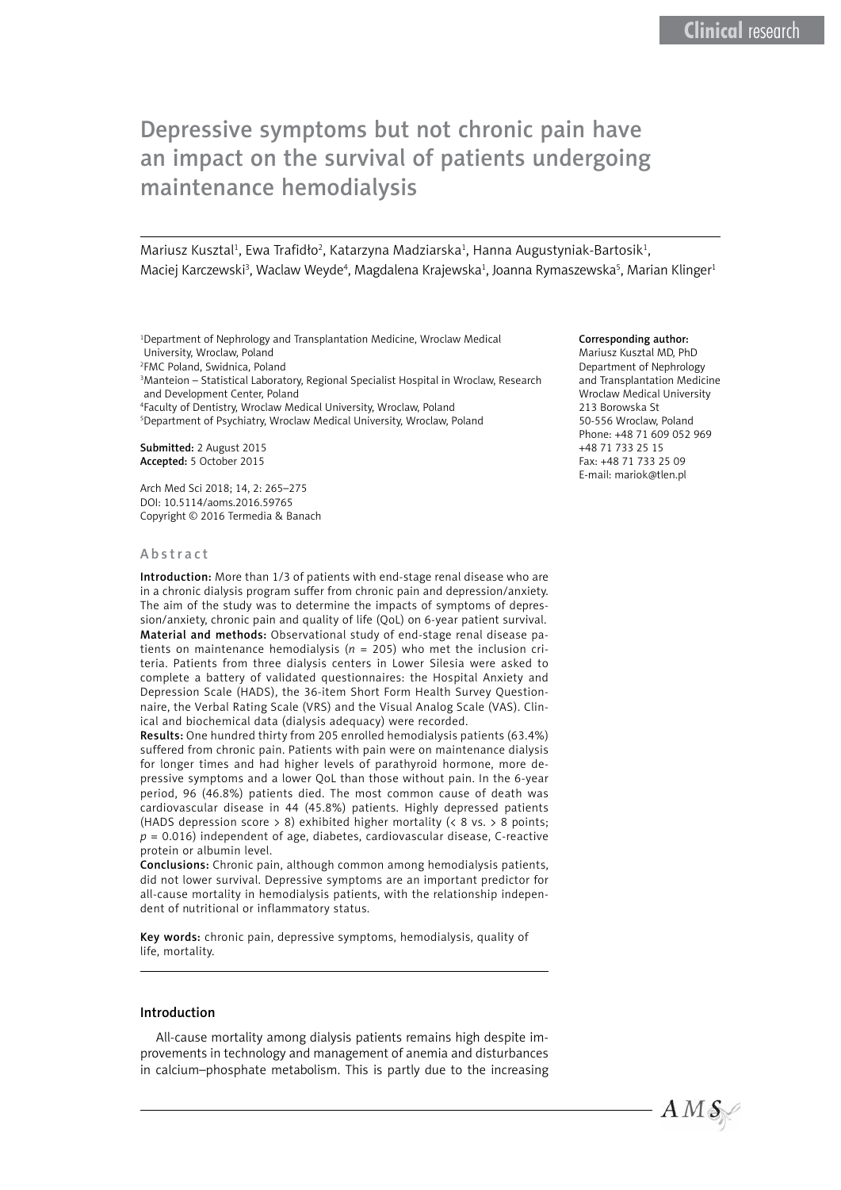# Depressive symptoms but not chronic pain have an impact on the survival of patients undergoing maintenance hemodialysis

Mariusz Kusztal<sup>1</sup>, Ewa Trafidło<sup>2</sup>, Katarzyna Madziarska<sup>1</sup>, Hanna Augustyniak-Bartosik<sup>1</sup>, Maciej Karczewski<sup>3</sup>, Waclaw Weyde<sup>4</sup>, Magdalena Krajewska<sup>1</sup>, Joanna Rymaszewska<sup>s</sup>, Marian Klinger<sup>1</sup>

 Department of Nephrology and Transplantation Medicine, Wroclaw Medical University, Wroclaw, Poland FMC Poland, Swidnica, Poland Manteion – Statistical Laboratory, Regional Specialist Hospital in Wroclaw, Research and Development Center, Poland Faculty of Dentistry, Wroclaw Medical University, Wroclaw, Poland Department of Psychiatry, Wroclaw Medical University, Wroclaw, Poland

Submitted: 2 August 2015 Accepted: 5 October 2015

Arch Med Sci 2018; 14, 2: 265–275 DOI: 10.5114/aoms.2016.59765 Copyright © 2016 Termedia & Banach

#### Abstract

Introduction: More than 1/3 of patients with end-stage renal disease who are in a chronic dialysis program suffer from chronic pain and depression/anxiety. The aim of the study was to determine the impacts of symptoms of depression/anxiety, chronic pain and quality of life (QoL) on 6-year patient survival. Material and methods: Observational study of end-stage renal disease patients on maintenance hemodialysis (*n* = 205) who met the inclusion criteria. Patients from three dialysis centers in Lower Silesia were asked to complete a battery of validated questionnaires: the Hospital Anxiety and Depression Scale (HADS), the 36-item Short Form Health Survey Questionnaire, the Verbal Rating Scale (VRS) and the Visual Analog Scale (VAS). Clinical and biochemical data (dialysis adequacy) were recorded.

Results: One hundred thirty from 205 enrolled hemodialysis patients (63.4%) suffered from chronic pain. Patients with pain were on maintenance dialysis for longer times and had higher levels of parathyroid hormone, more depressive symptoms and a lower QoL than those without pain. In the 6-year period, 96 (46.8%) patients died. The most common cause of death was cardiovascular disease in 44 (45.8%) patients. Highly depressed patients (HADS depression score > 8) exhibited higher mortality (< 8 vs. > 8 points; *p* = 0.016) independent of age, diabetes, cardiovascular disease, C-reactive protein or albumin level.

Conclusions: Chronic pain, although common among hemodialysis patients, did not lower survival. Depressive symptoms are an important predictor for all-cause mortality in hemodialysis patients, with the relationship independent of nutritional or inflammatory status.

Key words: chronic pain, depressive symptoms, hemodialysis, quality of life, mortality.

## Introduction

All-cause mortality among dialysis patients remains high despite improvements in technology and management of anemia and disturbances in calcium–phosphate metabolism. This is partly due to the increasing

#### Corresponding author:

Mariusz Kusztal MD, PhD Department of Nephrology and Transplantation Medicine Wroclaw Medical University 213 Borowska St 50-556 Wroclaw, Poland Phone: +48 71 609 052 969 +48 71 733 25 15 Fax: +48 71 733 25 09 E-mail: [mariok@tlen.pl](mailto:mariok@tlen.pl)

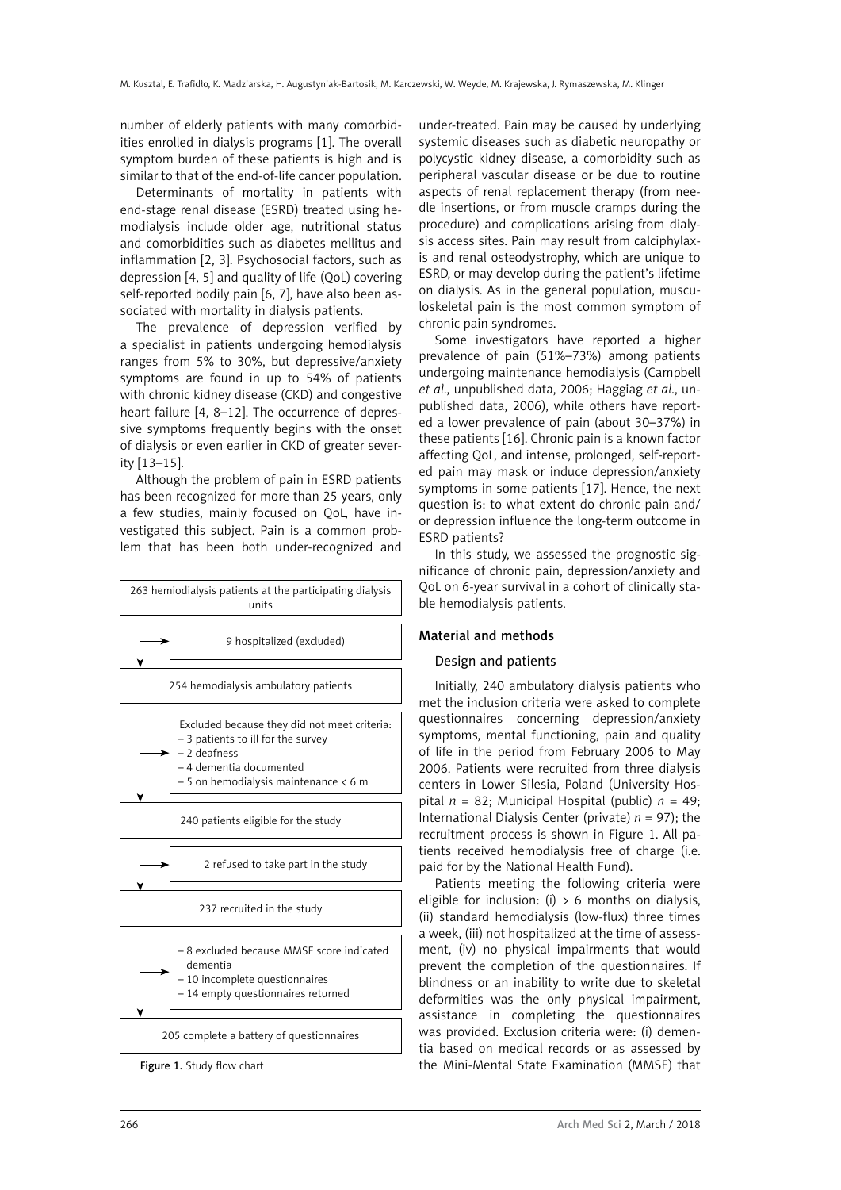number of elderly patients with many comorbidities enrolled in dialysis programs [1]. The overall symptom burden of these patients is high and is similar to that of the end-of-life cancer population.

Determinants of mortality in patients with end-stage renal disease (ESRD) treated using hemodialysis include older age, nutritional status and comorbidities such as diabetes mellitus and inflammation [2, 3]. Psychosocial factors, such as depression [4, 5] and quality of life (QoL) covering self-reported bodily pain [6, 7], have also been associated with mortality in dialysis patients.

The prevalence of depression verified by a specialist in patients undergoing hemodialysis ranges from 5% to 30%, but depressive/anxiety symptoms are found in up to 54% of patients with chronic kidney disease (CKD) and congestive heart failure [4, 8–12]. The occurrence of depressive symptoms frequently begins with the onset of dialysis or even earlier in CKD of greater severity [13–15].

Although the problem of pain in ESRD patients has been recognized for more than 25 years, only a few studies, mainly focused on QoL, have investigated this subject. Pain is a common problem that has been both under-recognized and



under-treated. Pain may be caused by underlying systemic diseases such as diabetic neuropathy or polycystic kidney disease, a comorbidity such as peripheral vascular disease or be due to routine aspects of renal replacement therapy (from needle insertions, or from muscle cramps during the procedure) and complications arising from dialysis access sites. Pain may result from calciphylaxis and renal osteodystrophy, which are unique to ESRD, or may develop during the patient's lifetime on dialysis. As in the general population, musculoskeletal pain is the most common symptom of chronic pain syndromes.

Some investigators have reported a higher prevalence of pain (51%–73%) among patients undergoing maintenance hemodialysis (Campbell *et al*., unpublished data, 2006; Haggiag *et al*., unpublished data, 2006), while others have reported a lower prevalence of pain (about 30–37%) in these patients [16]. Chronic pain is a known factor affecting QoL, and intense, prolonged, self-reported pain may mask or induce depression/anxiety symptoms in some patients [17]. Hence, the next question is: to what extent do chronic pain and/ or depression influence the long-term outcome in ESRD patients?

In this study, we assessed the prognostic significance of chronic pain, depression/anxiety and QoL on 6-year survival in a cohort of clinically stable hemodialysis patients.

# Material and methods

# Design and patients

Initially, 240 ambulatory dialysis patients who met the inclusion criteria were asked to complete questionnaires concerning depression/anxiety symptoms, mental functioning, pain and quality of life in the period from February 2006 to May 2006. Patients were recruited from three dialysis centers in Lower Silesia, Poland (University Hospital  $n = 82$ ; Municipal Hospital (public)  $n = 49$ ; International Dialysis Center (private) *n* = 97); the recruitment process is shown in Figure 1. All patients received hemodialysis free of charge (i.e. paid for by the National Health Fund).

Patients meeting the following criteria were eligible for inclusion: (i)  $> 6$  months on dialysis, (ii) standard hemodialysis (low-flux) three times a week, (iii) not hospitalized at the time of assessment, (iv) no physical impairments that would prevent the completion of the questionnaires. If blindness or an inability to write due to skeletal deformities was the only physical impairment, assistance in completing the questionnaires was provided. Exclusion criteria were: (i) dementia based on medical records or as assessed by Figure 1. Study flow chart **the Mini-Mental State Examination (MMSE)** that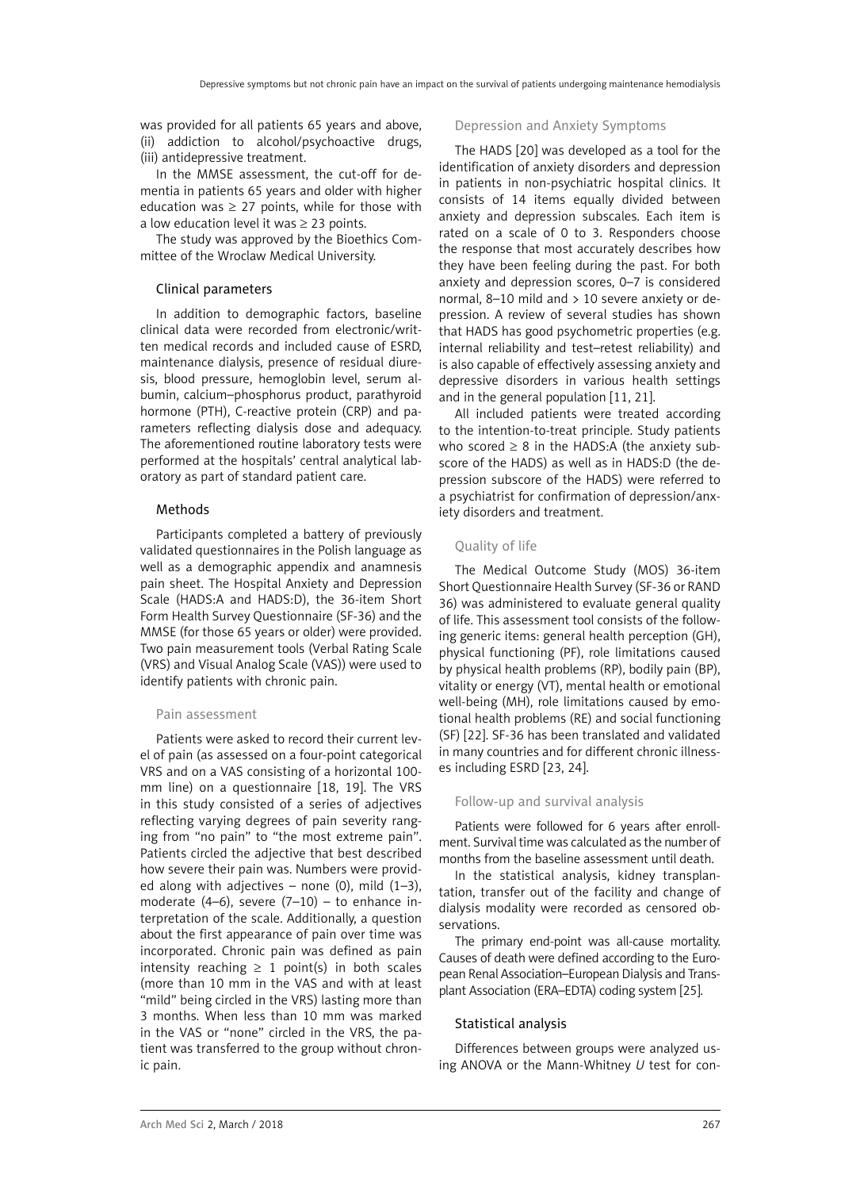was provided for all patients 65 years and above, (ii) addiction to alcohol/psychoactive drugs, (iii) antidepressive treatment.

In the MMSE assessment, the cut-off for dementia in patients 65 years and older with higher education was  $\geq 27$  points, while for those with a low education level it was  $\geq$  23 points.

The study was approved by the Bioethics Committee of the Wroclaw Medical University.

#### Clinical parameters

In addition to demographic factors, baseline clinical data were recorded from electronic/written medical records and included cause of ESRD, maintenance dialysis, presence of residual diuresis, blood pressure, hemoglobin level, serum albumin, calcium–phosphorus product, parathyroid hormone (PTH), C-reactive protein (CRP) and parameters reflecting dialysis dose and adequacy. The aforementioned routine laboratory tests were performed at the hospitals' central analytical laboratory as part of standard patient care.

#### Methods

Participants completed a battery of previously validated questionnaires in the Polish language as well as a demographic appendix and anamnesis pain sheet. The Hospital Anxiety and Depression Scale (HADS:A and HADS:D), the 36-item Short Form Health Survey Questionnaire (SF-36) and the MMSE (for those 65 years or older) were provided. Two pain measurement tools (Verbal Rating Scale (VRS) and Visual Analog Scale (VAS)) were used to identify patients with chronic pain.

#### Pain assessment

Patients were asked to record their current level of pain (as assessed on a four-point categorical VRS and on a VAS consisting of a horizontal 100 mm line) on a questionnaire [18, 19]. The VRS in this study consisted of a series of adjectives reflecting varying degrees of pain severity ranging from "no pain" to "the most extreme pain". Patients circled the adjective that best described how severe their pain was. Numbers were provided along with adjectives – none (0), mild  $(1-3)$ , moderate  $(4-6)$ , severe  $(7-10)$  - to enhance interpretation of the scale. Additionally, a question about the first appearance of pain over time was incorporated. Chronic pain was defined as pain intensity reaching  $\geq 1$  point(s) in both scales (more than 10 mm in the VAS and with at least "mild" being circled in the VRS) lasting more than 3 months. When less than 10 mm was marked in the VAS or "none" circled in the VRS, the patient was transferred to the group without chronic pain.

#### Depression and Anxiety Symptoms

The HADS [20] was developed as a tool for the identification of anxiety disorders and depression in patients in non-psychiatric hospital clinics. It consists of 14 items equally divided between anxiety and depression subscales. Each item is rated on a scale of 0 to 3. Responders choose the response that most accurately describes how they have been feeling during the past. For both anxiety and depression scores, 0–7 is considered normal, 8–10 mild and > 10 severe anxiety or depression. A review of several studies has shown that HADS has good psychometric properties (e.g. internal reliability and test–retest reliability) and is also capable of effectively assessing anxiety and depressive disorders in various health settings and in the general population [11, 21].

All included patients were treated according to the intention-to-treat principle. Study patients who scored  $\geq 8$  in the HADS:A (the anxiety subscore of the HADS) as well as in HADS:D (the depression subscore of the HADS) were referred to a psychiatrist for confirmation of depression/anxiety disorders and treatment.

#### Quality of life

The Medical Outcome Study (MOS) 36-item Short Questionnaire Health Survey (SF-36 or RAND 36) was administered to evaluate general quality of life. This assessment tool consists of the following generic items: general health perception (GH), physical functioning (PF), role limitations caused by physical health problems (RP), bodily pain (BP), vitality or energy (VT), mental health or emotional well-being (MH), role limitations caused by emotional health problems (RE) and social functioning (SF) [22]. SF-36 has been translated and validated in many countries and for different chronic illnesses including ESRD [23, 24].

#### Follow-up and survival analysis

Patients were followed for 6 years after enrollment. Survival time was calculated as the number of months from the baseline assessment until death.

In the statistical analysis, kidney transplantation, transfer out of the facility and change of dialysis modality were recorded as censored observations.

The primary end-point was all-cause mortality. Causes of death were defined according to the European Renal Association–European Dialysis and Transplant Association (ERA–EDTA) coding system [25].

#### Statistical analysis

Differences between groups were analyzed using ANOVA or the Mann-Whitney *U* test for con-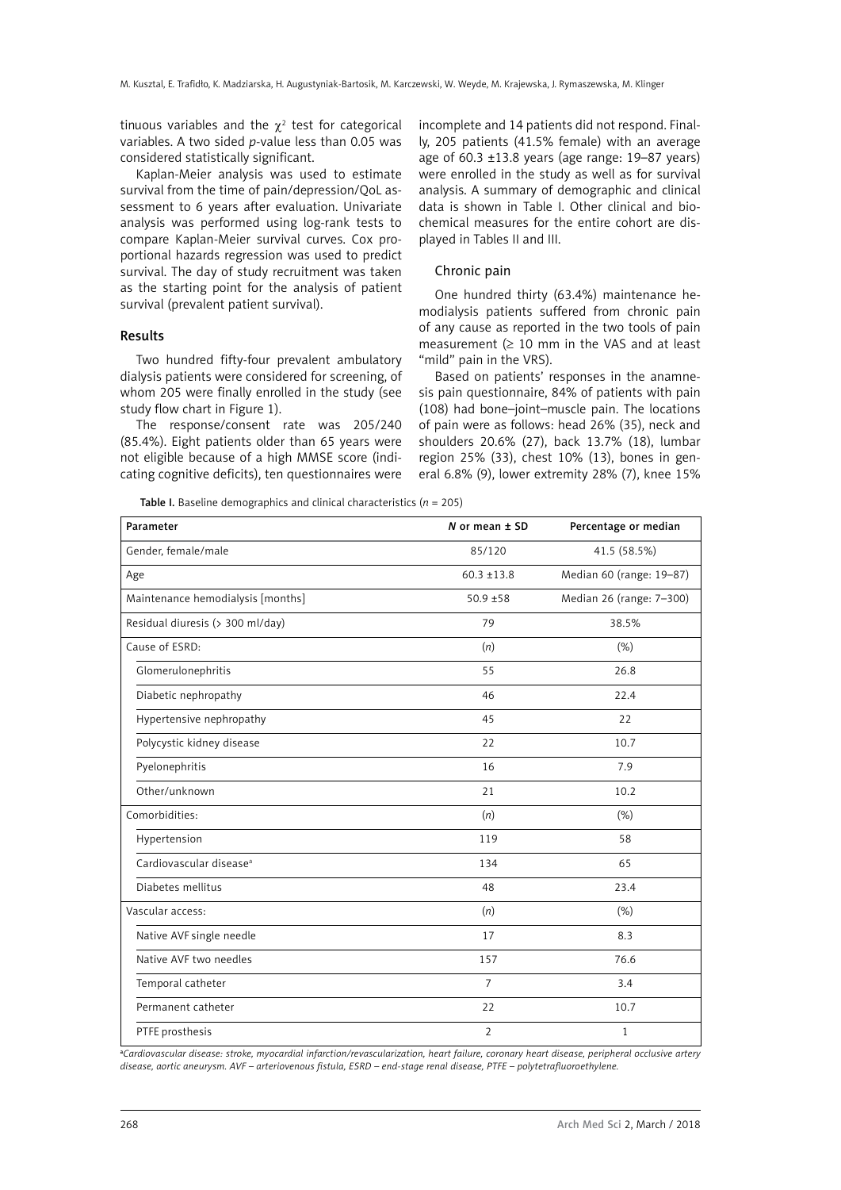tinuous variables and the  $\chi^2$  test for categorical variables. A two sided *p*-value less than 0.05 was considered statistically significant.

Kaplan-Meier analysis was used to estimate survival from the time of pain/depression/QoL assessment to 6 years after evaluation. Univariate analysis was performed using log-rank tests to compare Kaplan-Meier survival curves. Cox proportional hazards regression was used to predict survival. The day of study recruitment was taken as the starting point for the analysis of patient survival (prevalent patient survival).

## Results

Two hundred fifty-four prevalent ambulatory dialysis patients were considered for screening, of whom 205 were finally enrolled in the study (see study flow chart in Figure 1).

The response/consent rate was 205/240 (85.4%). Eight patients older than 65 years were not eligible because of a high MMSE score (indicating cognitive deficits), ten questionnaires were incomplete and 14 patients did not respond. Finally, 205 patients (41.5% female) with an average age of 60.3  $\pm$ 13.8 years (age range: 19–87 years) were enrolled in the study as well as for survival analysis. A summary of demographic and clinical data is shown in Table I. Other clinical and biochemical measures for the entire cohort are displayed in Tables II and III.

# Chronic pain

One hundred thirty (63.4%) maintenance hemodialysis patients suffered from chronic pain of any cause as reported in the two tools of pain measurement  $(≥ 10$  mm in the VAS and at least "mild" pain in the VRS).

Based on patients' responses in the anamnesis pain questionnaire, 84% of patients with pain (108) had bone–joint–muscle pain. The locations of pain were as follows: head 26% (35), neck and shoulders 20.6% (27), back 13.7% (18), lumbar region 25% (33), chest 10% (13), bones in general 6.8% (9), lower extremity 28% (7), knee 15%

Table I. Baseline demographics and clinical characteristics  $(n = 205)$ 

| Parameter                           | N or mean $±$ SD | Percentage or median     |
|-------------------------------------|------------------|--------------------------|
| Gender, female/male                 | 85/120           | 41.5 (58.5%)             |
| Age                                 | $60.3 \pm 13.8$  | Median 60 (range: 19-87) |
| Maintenance hemodialysis [months]   | $50.9 + 58$      | Median 26 (range: 7-300) |
| Residual diuresis (> 300 ml/day)    | 79               | 38.5%                    |
| Cause of ESRD:                      | (n)              | (% )                     |
| Glomerulonephritis                  | 55               | 26.8                     |
| Diabetic nephropathy                | 46               | 22.4                     |
| Hypertensive nephropathy            | 45               | 22                       |
| Polycystic kidney disease           | 22               | 10.7                     |
| Pyelonephritis                      | 16               | 7.9                      |
| Other/unknown                       | 21               | 10.2                     |
| Comorbidities:                      | (n)              | (% )                     |
| Hypertension                        | 119              | 58                       |
| Cardiovascular disease <sup>a</sup> | 134              | 65                       |
| Diabetes mellitus                   | 48               | 23.4                     |
| Vascular access:                    | (n)              | (% )                     |
| Native AVF single needle            | 17               | 8.3                      |
| Native AVF two needles              | 157              | 76.6                     |
| Temporal catheter                   | $\overline{7}$   | 3.4                      |
| Permanent catheter                  | 22               | 10.7                     |
| PTFE prosthesis                     | $\overline{2}$   | $\mathbf{1}$             |

a *Cardiovascular disease: stroke, myocardial infarction/revascularization, heart failure, coronary heart disease, peripheral occlusive artery disease, aortic aneurysm. AVF – arteriovenous fistula, ESRD – end-stage renal disease, PTFE – polytetrafluoroethylene.*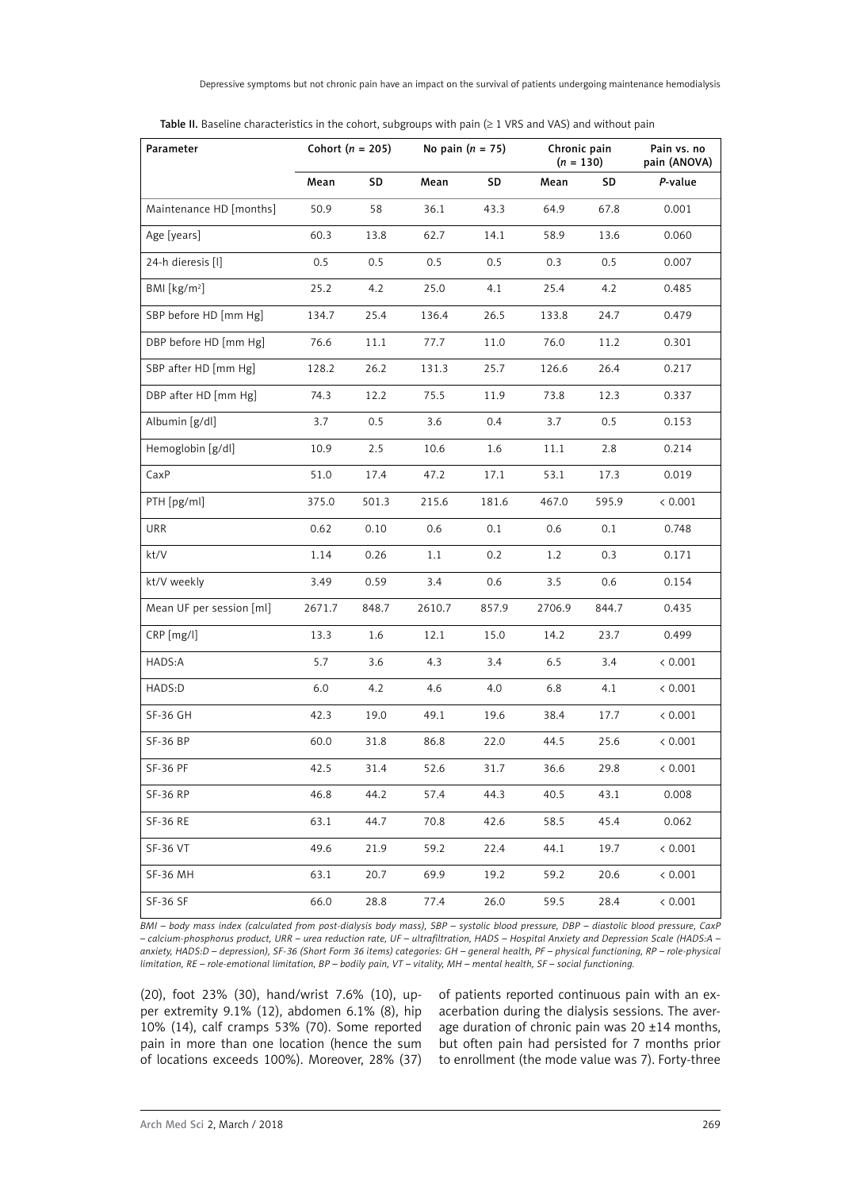| Parameter                |        | Cohort ( $n = 205$ ) |        | No pain $(n = 75)$ |        | Chronic pain<br>$(n = 130)$ | Pain vs. no<br>pain (ANOVA) |
|--------------------------|--------|----------------------|--------|--------------------|--------|-----------------------------|-----------------------------|
|                          | Mean   | SD                   | Mean   | SD                 | Mean   | SD                          | P-value                     |
| Maintenance HD [months]  | 50.9   | 58                   | 36.1   | 43.3               | 64.9   | 67.8                        | 0.001                       |
| Age [years]              | 60.3   | 13.8                 | 62.7   | 14.1               | 58.9   | 13.6                        | 0.060                       |
| 24-h dieresis [l]        | 0.5    | 0.5                  | 0.5    | 0.5                | 0.3    | 0.5                         | 0.007                       |
| BMI $[kg/m2]$            | 25.2   | 4.2                  | 25.0   | 4.1                | 25.4   | 4.2                         | 0.485                       |
| SBP before HD [mm Hg]    | 134.7  | 25.4                 | 136.4  | 26.5               | 133.8  | 24.7                        | 0.479                       |
| DBP before HD [mm Hg]    | 76.6   | 11.1                 | 77.7   | 11.0               | 76.0   | 11.2                        | 0.301                       |
| SBP after HD [mm Hg]     | 128.2  | 26.2                 | 131.3  | 25.7               | 126.6  | 26.4                        | 0.217                       |
| DBP after HD [mm Hg]     | 74.3   | 12.2                 | 75.5   | 11.9               | 73.8   | 12.3                        | 0.337                       |
| Albumin [g/dl]           | 3.7    | 0.5                  | 3.6    | 0.4                | 3.7    | 0.5                         | 0.153                       |
| Hemoglobin [g/dl]        | 10.9   | 2.5                  | 10.6   | 1.6                | 11.1   | 2.8                         | 0.214                       |
| CaxP                     | 51.0   | 17.4                 | 47.2   | 17.1               | 53.1   | 17.3                        | 0.019                       |
| PTH [pg/ml]              | 375.0  | 501.3                | 215.6  | 181.6              | 467.0  | 595.9                       | < 0.001                     |
| URR                      | 0.62   | 0.10                 | 0.6    | 0.1                | 0.6    | 0.1                         | 0.748                       |
| kt/V                     | 1.14   | 0.26                 | 1.1    | 0.2                | 1.2    | 0.3                         | 0.171                       |
| kt/V weekly              | 3.49   | 0.59                 | 3.4    | 0.6                | 3.5    | 0.6                         | 0.154                       |
| Mean UF per session [ml] | 2671.7 | 848.7                | 2610.7 | 857.9              | 2706.9 | 844.7                       | 0.435                       |
| CRP [mg/l]               | 13.3   | 1.6                  | 12.1   | 15.0               | 14.2   | 23.7                        | 0.499                       |
| HADS:A                   | 5.7    | 3.6                  | 4.3    | 3.4                | 6.5    | 3.4                         | < 0.001                     |
| HADS:D                   | 6.0    | 4.2                  | 4.6    | 4.0                | 6.8    | 4.1                         | < 0.001                     |
| SF-36 GH                 | 42.3   | 19.0                 | 49.1   | 19.6               | 38.4   | 17.7                        | < 0.001                     |
| SF-36 BP                 | 60.0   | 31.8                 | 86.8   | 22.0               | 44.5   | 25.6                        | < 0.001                     |
| <b>SF-36 PF</b>          | 42.5   | 31.4                 | 52.6   | 31.7               | 36.6   | 29.8                        | < 0.001                     |
| <b>SF-36 RP</b>          | 46.8   | 44.2                 | 57.4   | 44.3               | 40.5   | 43.1                        | 0.008                       |
| SF-36 RE                 | 63.1   | 44.7                 | 70.8   | 42.6               | 58.5   | 45.4                        | 0.062                       |
| SF-36 VT                 | 49.6   | 21.9                 | 59.2   | 22.4               | 44.1   | 19.7                        | < 0.001                     |
| <b>SF-36 MH</b>          | 63.1   | 20.7                 | 69.9   | 19.2               | 59.2   | 20.6                        | < 0.001                     |
| <b>SF-36 SF</b>          | 66.0   | 28.8                 | 77.4   | 26.0               | 59.5   | 28.4                        | < 0.001                     |

Table II. Baseline characteristics in the cohort, subgroups with pain (≥ 1 VRS and VAS) and without pain

*BMI – body mass index (calculated from post-dialysis body mass), SBP – systolic blood pressure, DBP – diastolic blood pressure, CaxP – calcium-phosphorus product, URR – urea reduction rate, UF – ultrafiltration, HADS – Hospital Anxiety and Depression Scale (HADS:A – anxiety, HADS:D – depression), SF-36 (Short Form 36 items) categories: GH – general health, PF – physical functioning, RP – role-physical limitation, RE – role-emotional limitation, BP – bodily pain, VT – vitality, MH – mental health, SF – social functioning.*

(20), foot 23% (30), hand/wrist 7.6% (10), upper extremity 9.1% (12), abdomen 6.1% (8), hip 10% (14), calf cramps 53% (70). Some reported pain in more than one location (hence the sum of locations exceeds 100%). Moreover, 28% (37) of patients reported continuous pain with an exacerbation during the dialysis sessions. The average duration of chronic pain was 20 ±14 months, but often pain had persisted for 7 months prior to enrollment (the mode value was 7). Forty-three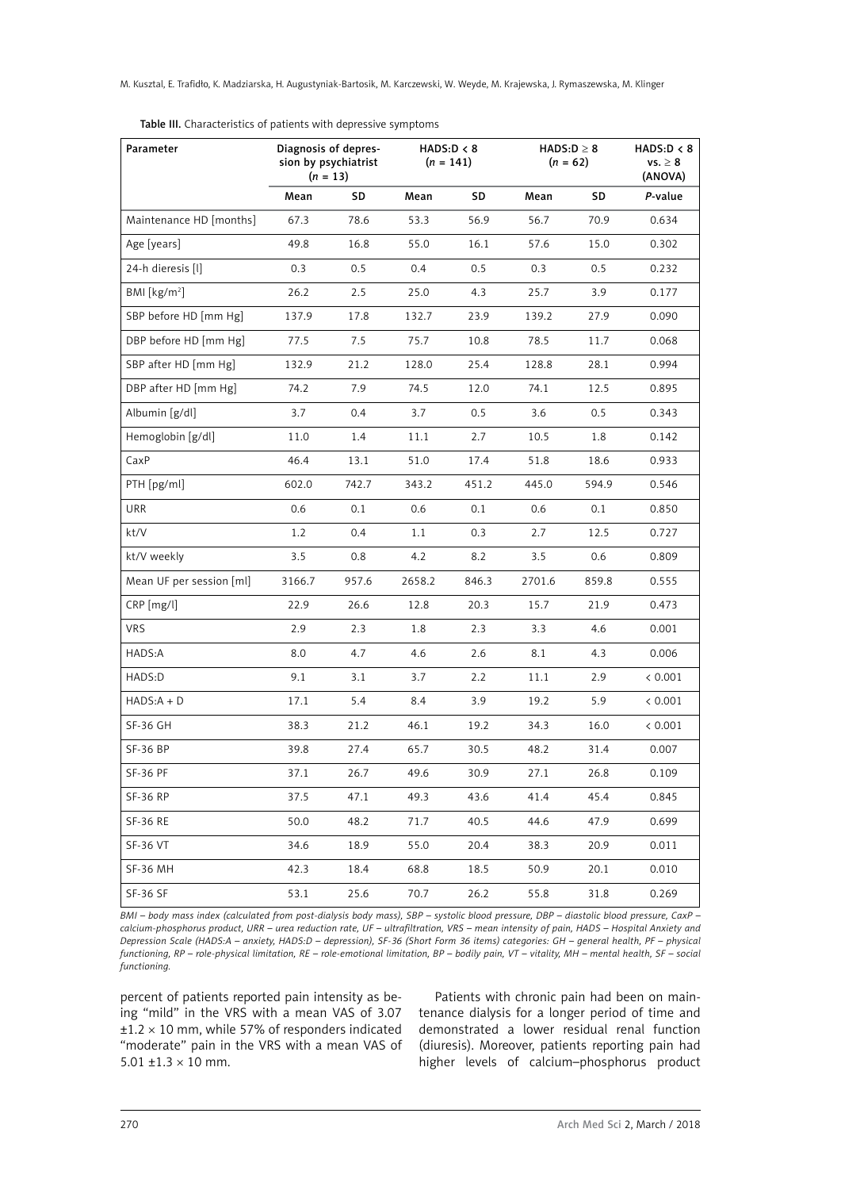| Parameter                | Diagnosis of depres-<br>HADS: D < 8<br>sion by psychiatrist<br>$(n = 141)$<br>$(n = 13)$ |       |         | $HADS: D \geq 8$<br>$(n = 62)$ |        | HADS: D < 8<br>$vs. \geq 8$<br>(ANOVA) |         |
|--------------------------|------------------------------------------------------------------------------------------|-------|---------|--------------------------------|--------|----------------------------------------|---------|
|                          | Mean                                                                                     | SD    | Mean    | SD                             | Mean   | SD                                     | P-value |
| Maintenance HD [months]  | 67.3                                                                                     | 78.6  | 53.3    | 56.9                           | 56.7   | 70.9                                   | 0.634   |
| Age [years]              | 49.8                                                                                     | 16.8  | 55.0    | 16.1                           | 57.6   | 15.0                                   | 0.302   |
| 24-h dieresis [l]        | 0.3                                                                                      | 0.5   | $0.4\,$ | 0.5                            | 0.3    | 0.5                                    | 0.232   |
| BMI $[kg/m2]$            | 26.2                                                                                     | 2.5   | 25.0    | 4.3                            | 25.7   | 3.9                                    | 0.177   |
| SBP before HD [mm Hg]    | 137.9                                                                                    | 17.8  | 132.7   | 23.9                           | 139.2  | 27.9                                   | 0.090   |
| DBP before HD [mm Hg]    | 77.5                                                                                     | 7.5   | 75.7    | 10.8                           | 78.5   | 11.7                                   | 0.068   |
| SBP after HD [mm Hg]     | 132.9                                                                                    | 21.2  | 128.0   | 25.4                           | 128.8  | 28.1                                   | 0.994   |
| DBP after HD [mm Hg]     | 74.2                                                                                     | 7.9   | 74.5    | 12.0                           | 74.1   | 12.5                                   | 0.895   |
| Albumin [g/dl]           | 3.7                                                                                      | 0.4   | 3.7     | 0.5                            | 3.6    | 0.5                                    | 0.343   |
| Hemoglobin [g/dl]        | 11.0                                                                                     | 1.4   | 11.1    | 2.7                            | 10.5   | 1.8                                    | 0.142   |
| CaxP                     | 46.4                                                                                     | 13.1  | 51.0    | 17.4                           | 51.8   | 18.6                                   | 0.933   |
| PTH [pg/ml]              | 602.0                                                                                    | 742.7 | 343.2   | 451.2                          | 445.0  | 594.9                                  | 0.546   |
| URR                      | 0.6                                                                                      | 0.1   | 0.6     | 0.1                            | 0.6    | 0.1                                    | 0.850   |
| kt/V                     | 1.2                                                                                      | 0.4   | 1.1     | 0.3                            | 2.7    | 12.5                                   | 0.727   |
| kt/V weekly              | 3.5                                                                                      | 0.8   | 4.2     | 8.2                            | 3.5    | 0.6                                    | 0.809   |
| Mean UF per session [ml] | 3166.7                                                                                   | 957.6 | 2658.2  | 846.3                          | 2701.6 | 859.8                                  | 0.555   |
| CRP [mg/l]               | 22.9                                                                                     | 26.6  | 12.8    | 20.3                           | 15.7   | 21.9                                   | 0.473   |
| <b>VRS</b>               | 2.9                                                                                      | 2.3   | 1.8     | 2.3                            | 3.3    | 4.6                                    | 0.001   |
| HADS:A                   | 8.0                                                                                      | 4.7   | 4.6     | 2.6                            | 8.1    | 4.3                                    | 0.006   |
| HADS:D                   | 9.1                                                                                      | 3.1   | 3.7     | 2.2                            | 11.1   | 2.9                                    | < 0.001 |
| $HADS: A + D$            | 17.1                                                                                     | 5.4   | 8.4     | 3.9                            | 19.2   | 5.9                                    | < 0.001 |
| <b>SF-36 GH</b>          | 38.3                                                                                     | 21.2  | 46.1    | 19.2                           | 34.3   | 16.0                                   | < 0.001 |
| <b>SF-36 BP</b>          | 39.8                                                                                     | 27.4  | 65.7    | 30.5                           | 48.2   | 31.4                                   | 0.007   |
| <b>SF-36 PF</b>          | 37.1                                                                                     | 26.7  | 49.6    | 30.9                           | 27.1   | 26.8                                   | 0.109   |
| <b>SF-36 RP</b>          | 37.5                                                                                     | 47.1  | 49.3    | 43.6                           | 41.4   | 45.4                                   | 0.845   |
| <b>SF-36 RE</b>          | 50.0                                                                                     | 48.2  | 71.7    | 40.5                           | 44.6   | 47.9                                   | 0.699   |
| <b>SF-36 VT</b>          | 34.6                                                                                     | 18.9  | 55.0    | 20.4                           | 38.3   | 20.9                                   | 0.011   |
| <b>SF-36 MH</b>          | 42.3                                                                                     | 18.4  | 68.8    | 18.5                           | 50.9   | 20.1                                   | 0.010   |
| <b>SF-36 SF</b>          | 53.1                                                                                     | 25.6  | 70.7    | 26.2                           | 55.8   | 31.8                                   | 0.269   |

Table III. Characteristics of patients with depressive symptoms

*BMI – body mass index (calculated from post-dialysis body mass), SBP – systolic blood pressure, DBP – diastolic blood pressure, CaxP – calcium-phosphorus product, URR – urea reduction rate, UF – ultrafiltration, VRS – mean intensity of pain, HADS – Hospital Anxiety and Depression Scale (HADS:A – anxiety, HADS:D – depression), SF-36 (Short Form 36 items) categories: GH – general health, PF – physical functioning, RP – role-physical limitation, RE – role-emotional limitation, BP – bodily pain, VT – vitality, MH – mental health, SF – social functioning.*

percent of patients reported pain intensity as being "mild" in the VRS with a mean VAS of 3.07  $\pm 1.2 \times 10$  mm, while 57% of responders indicated "moderate" pain in the VRS with a mean VAS of 5.01  $\pm$ 1.3  $\times$  10 mm.

Patients with chronic pain had been on maintenance dialysis for a longer period of time and demonstrated a lower residual renal function (diuresis). Moreover, patients reporting pain had higher levels of calcium–phosphorus product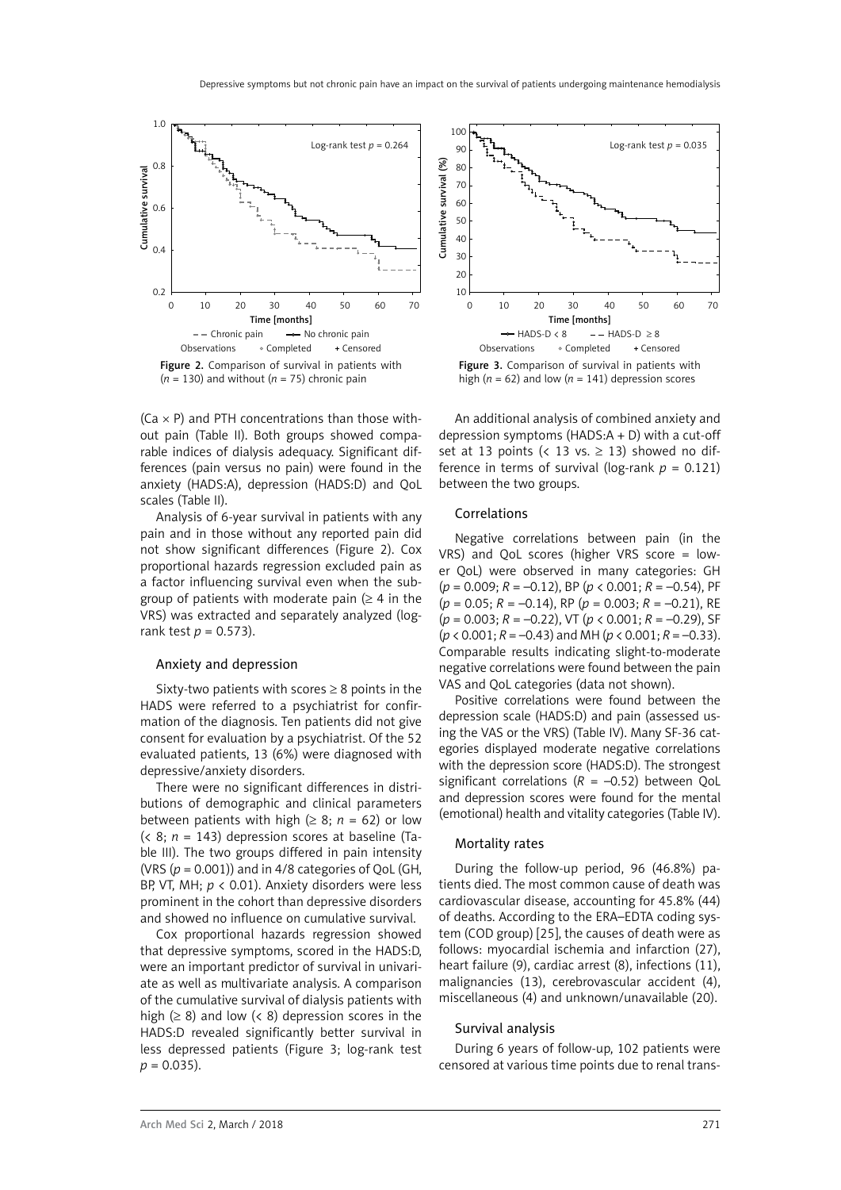

 $(Ca \times P)$  and PTH concentrations than those without pain (Table II). Both groups showed comparable indices of dialysis adequacy. Significant differences (pain versus no pain) were found in the anxiety (HADS:A), depression (HADS:D) and QoL scales (Table II).

Analysis of 6-year survival in patients with any pain and in those without any reported pain did not show significant differences (Figure 2). Cox proportional hazards regression excluded pain as a factor influencing survival even when the subgroup of patients with moderate pain ( $\geq 4$  in the VRS) was extracted and separately analyzed (logrank test *p* = 0.573).

#### Anxiety and depression

Sixty-two patients with scores  $\geq 8$  points in the HADS were referred to a psychiatrist for confirmation of the diagnosis. Ten patients did not give consent for evaluation by a psychiatrist. Of the 52 evaluated patients, 13 (6%) were diagnosed with depressive/anxiety disorders.

There were no significant differences in distributions of demographic and clinical parameters between patients with high ( $\geq$  8;  $n = 62$ ) or low  $( $8$ ;  $n = 143$ ) depression scores at baseline (Ta$ ble III). The two groups differed in pain intensity (VRS  $(p = 0.001)$ ) and in  $4/8$  categories of OoL (GH, BP, VT, MH; *p* < 0.01). Anxiety disorders were less prominent in the cohort than depressive disorders and showed no influence on cumulative survival.

Cox proportional hazards regression showed that depressive symptoms, scored in the HADS:D, were an important predictor of survival in univariate as well as multivariate analysis. A comparison of the cumulative survival of dialysis patients with high ( $\geq$  8) and low (< 8) depression scores in the HADS:D revealed significantly better survival in less depressed patients (Figure 3; log-rank test  $p = 0.035$ ).



An additional analysis of combined anxiety and depression symptoms (HADS:A + D) with a cut-off set at 13 points (< 13 vs.  $\geq$  13) showed no difference in terms of survival (log-rank  $p = 0.121$ ) between the two groups.

#### Correlations

Negative correlations between pain (in the VRS) and QoL scores (higher VRS score = lower QoL) were observed in many categories: GH (*p* = 0.009; *R* = –0.12), BP (*p* < 0.001; *R* = –0.54), PF (*p* = 0.05; *R* = –0.14), RP (*p* = 0.003; *R* = –0.21), RE (*p* = 0.003; *R* = –0.22), VT (*p* < 0.001; *R* = –0.29), SF (*p* < 0.001; *R* = –0.43) and MH (*p* < 0.001; *R* = –0.33). Comparable results indicating slight-to-moderate negative correlations were found between the pain VAS and QoL categories (data not shown).

Positive correlations were found between the depression scale (HADS:D) and pain (assessed using the VAS or the VRS) (Table IV). Many SF-36 categories displayed moderate negative correlations with the depression score (HADS:D). The strongest significant correlations  $(R = -0.52)$  between QoL and depression scores were found for the mental (emotional) health and vitality categories (Table IV).

#### Mortality rates

During the follow-up period, 96 (46.8%) patients died. The most common cause of death was cardiovascular disease, accounting for 45.8% (44) of deaths. According to the ERA–EDTA coding system (COD group) [25], the causes of death were as follows: myocardial ischemia and infarction (27), heart failure (9), cardiac arrest (8), infections (11), malignancies (13), cerebrovascular accident (4), miscellaneous (4) and unknown/unavailable (20).

#### Survival analysis

During 6 years of follow-up, 102 patients were censored at various time points due to renal trans-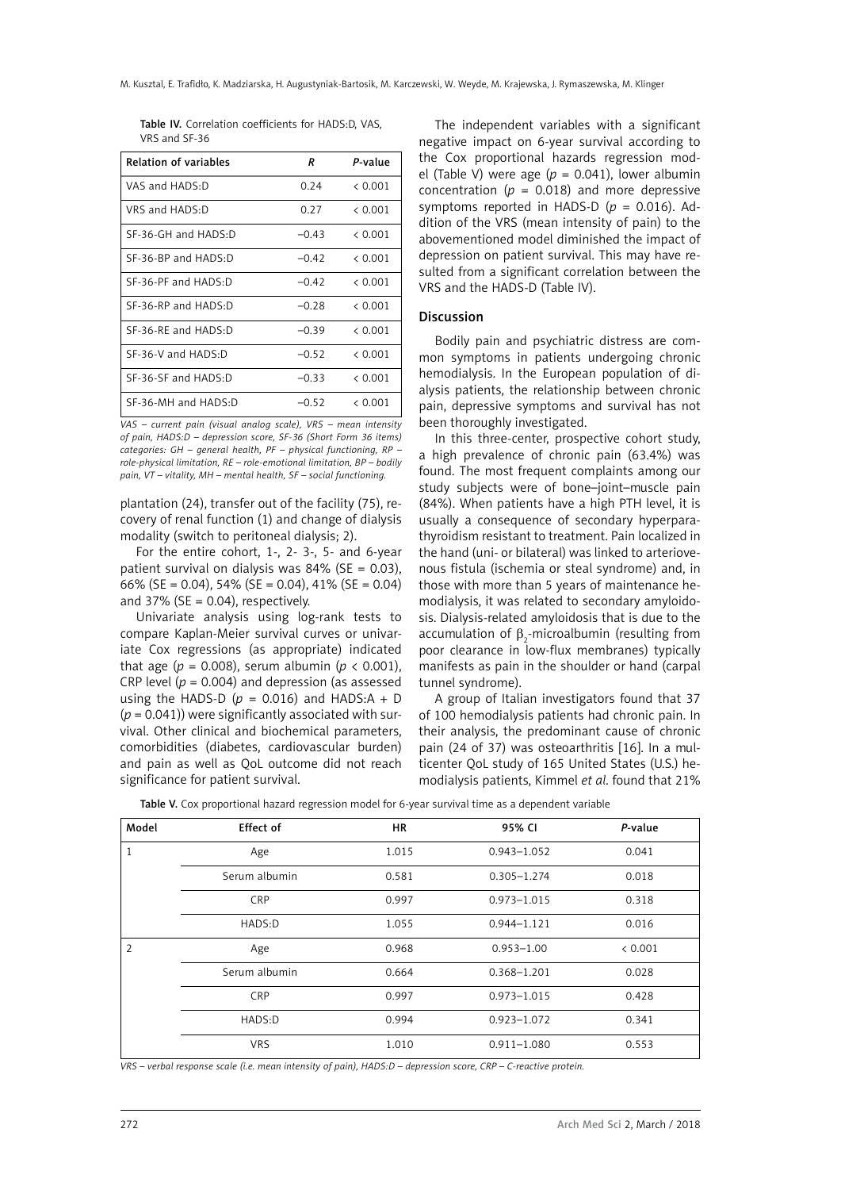|               | Table IV. Correlation coefficients for HADS:D, VAS, |  |  |
|---------------|-----------------------------------------------------|--|--|
| VRS and SF-36 |                                                     |  |  |

| <b>Relation of variables</b> | R       | P-value |
|------------------------------|---------|---------|
| VAS and HADS:D               | 0.24    | & 0.001 |
| VRS and HADS:D               | 0.27    | & 0.001 |
| SF-36-GH and HADS:D          | $-0.43$ | & 0.001 |
| $SF-36-BP$ and $HADS-D$      | $-0.42$ | & 0.001 |
| SF-36-PF and HADS:D          | $-0.42$ | < 0.001 |
| SF-36-RP and HADS.D          | $-0.28$ | & 0.001 |
| $SF-36-RF$ and $HADS-D$      | $-0.39$ | & 0.001 |
| $SF-36-V$ and $HADS \cdot D$ | $-0.52$ | & 0.001 |
| SF-36-SF and HADS:D          | $-0.33$ | & 0.001 |
| $SF-36-MH$ and $HADS-D$      | $-0.52$ | & 0.001 |

*VAS – current pain (visual analog scale), VRS – mean intensity of pain, HADS:D – depression score, SF-36 (Short Form 36 items) categories: GH – general health, PF – physical functioning, RP – role-physical limitation, RE – role-emotional limitation, BP – bodily pain, VT – vitality, MH – mental health, SF – social functioning.*

plantation (24), transfer out of the facility (75), recovery of renal function (1) and change of dialysis modality (switch to peritoneal dialysis; 2).

For the entire cohort, 1-, 2- 3-, 5- and 6-year patient survival on dialysis was  $84\%$  (SE = 0.03), 66% (SE = 0.04), 54% (SE = 0.04), 41% (SE = 0.04) and 37% ( $SE = 0.04$ ), respectively.

Univariate analysis using log-rank tests to compare Kaplan-Meier survival curves or univariate Cox regressions (as appropriate) indicated that age ( $p = 0.008$ ), serum albumin ( $p \lt 0.001$ ), CRP level  $(p = 0.004)$  and depression (as assessed using the HADS-D ( $p = 0.016$ ) and HADS:A + D (*p* = 0.041)) were significantly associated with survival. Other clinical and biochemical parameters, comorbidities (diabetes, cardiovascular burden) and pain as well as QoL outcome did not reach significance for patient survival.

The independent variables with a significant negative impact on 6-year survival according to the Cox proportional hazards regression model (Table V) were age  $(p = 0.041)$ , lower albumin concentration ( $p = 0.018$ ) and more depressive symptoms reported in HADS-D (*p* = 0.016). Addition of the VRS (mean intensity of pain) to the abovementioned model diminished the impact of depression on patient survival. This may have resulted from a significant correlation between the VRS and the HADS-D (Table IV).

### Discussion

Bodily pain and psychiatric distress are common symptoms in patients undergoing chronic hemodialysis. In the European population of dialysis patients, the relationship between chronic pain, depressive symptoms and survival has not been thoroughly investigated.

In this three-center, prospective cohort study, a high prevalence of chronic pain (63.4%) was found. The most frequent complaints among our study subjects were of bone–joint–muscle pain (84%). When patients have a high PTH level, it is usually a consequence of secondary hyperparathyroidism resistant to treatment. Pain localized in the hand (uni- or bilateral) was linked to arteriovenous fistula (ischemia or steal syndrome) and, in those with more than 5 years of maintenance hemodialysis, it was related to secondary amyloidosis. Dialysis-related amyloidosis that is due to the accumulation of  $\beta_2$ -microalbumin (resulting from poor clearance in low-flux membranes) typically manifests as pain in the shoulder or hand (carpal tunnel syndrome).

A group of Italian investigators found that 37 of 100 hemodialysis patients had chronic pain. In their analysis, the predominant cause of chronic pain (24 of 37) was osteoarthritis [16]. In a multicenter QoL study of 165 United States (U.S.) hemodialysis patients, Kimmel *et al*. found that 21%

| Model          | Effect of     | <b>HR</b> | 95% CI          | P-value |
|----------------|---------------|-----------|-----------------|---------|
| 1              | Age           | 1.015     | $0.943 - 1.052$ | 0.041   |
|                | Serum albumin | 0.581     | $0.305 - 1.274$ | 0.018   |
|                | <b>CRP</b>    | 0.997     | $0.973 - 1.015$ | 0.318   |
|                | HADS:D        | 1.055     | $0.944 - 1.121$ | 0.016   |
| $\overline{2}$ | Age           | 0.968     | $0.953 - 1.00$  | < 0.001 |
|                | Serum albumin | 0.664     | $0.368 - 1.201$ | 0.028   |
|                | <b>CRP</b>    | 0.997     | $0.973 - 1.015$ | 0.428   |
|                | HADS:D        | 0.994     | $0.923 - 1.072$ | 0.341   |
|                | <b>VRS</b>    | 1.010     | $0.911 - 1.080$ | 0.553   |

Table V. Cox proportional hazard regression model for 6-year survival time as a dependent variable

*VRS – verbal response scale (i.e. mean intensity of pain), HADS:D – depression score, CRP – C-reactive protein.*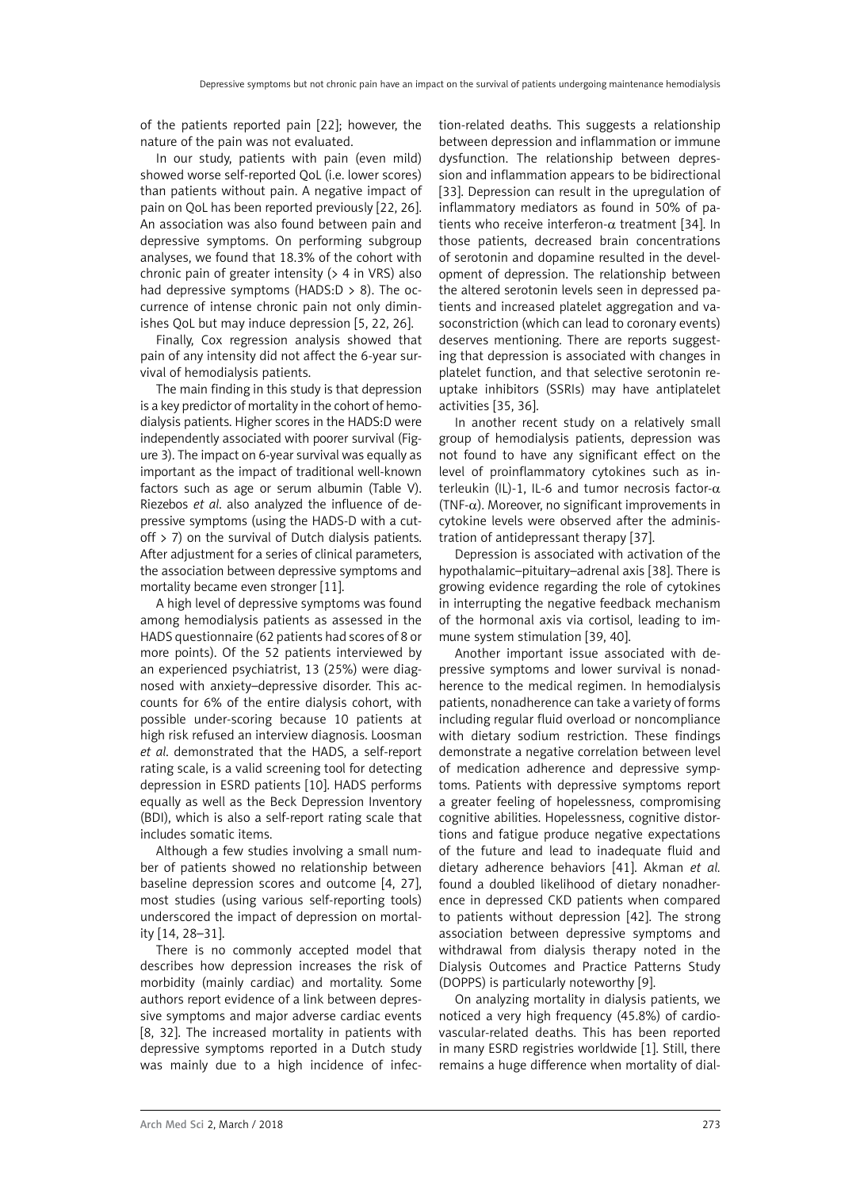of the patients reported pain [22]; however, the nature of the pain was not evaluated.

In our study, patients with pain (even mild) showed worse self-reported QoL (i.e. lower scores) than patients without pain. A negative impact of pain on QoL has been reported previously [22, 26]. An association was also found between pain and depressive symptoms. On performing subgroup analyses, we found that 18.3% of the cohort with chronic pain of greater intensity ( $> 4$  in VRS) also had depressive symptoms (HADS: $D > 8$ ). The occurrence of intense chronic pain not only diminishes QoL but may induce depression [5, 22, 26].

Finally, Cox regression analysis showed that pain of any intensity did not affect the 6-year survival of hemodialysis patients.

The main finding in this study is that depression is a key predictor of mortality in the cohort of hemodialysis patients. Higher scores in the HADS:D were independently associated with poorer survival (Figure 3). The impact on 6-year survival was equally as important as the impact of traditional well-known factors such as age or serum albumin (Table V). Riezebos *et al*. also analyzed the influence of depressive symptoms (using the HADS-D with a cutoff  $>$  7) on the survival of Dutch dialysis patients. After adjustment for a series of clinical parameters, the association between depressive symptoms and mortality became even stronger [11].

A high level of depressive symptoms was found among hemodialysis patients as assessed in the HADS questionnaire (62 patients had scores of 8 or more points). Of the 52 patients interviewed by an experienced psychiatrist, 13 (25%) were diagnosed with anxiety–depressive disorder. This accounts for 6% of the entire dialysis cohort, with possible under-scoring because 10 patients at high risk refused an interview diagnosis. Loosman *et al*. demonstrated that the HADS, a self-report rating scale, is a valid screening tool for detecting depression in ESRD patients [10]. HADS performs equally as well as the Beck Depression Inventory (BDI), which is also a self-report rating scale that includes somatic items.

Although a few studies involving a small number of patients showed no relationship between baseline depression scores and outcome [4, 27], most studies (using various self-reporting tools) underscored the impact of depression on mortality [14, 28–31].

There is no commonly accepted model that describes how depression increases the risk of morbidity (mainly cardiac) and mortality. Some authors report evidence of a link between depressive symptoms and major adverse cardiac events [8, 32]. The increased mortality in patients with depressive symptoms reported in a Dutch study was mainly due to a high incidence of infection-related deaths. This suggests a relationship between depression and inflammation or immune dysfunction. The relationship between depression and inflammation appears to be bidirectional [33]. Depression can result in the upregulation of inflammatory mediators as found in 50% of patients who receive interferon- $\alpha$  treatment [34]. In those patients, decreased brain concentrations of serotonin and dopamine resulted in the development of depression. The relationship between the altered serotonin levels seen in depressed patients and increased platelet aggregation and vasoconstriction (which can lead to coronary events) deserves mentioning. There are reports suggesting that depression is associated with changes in platelet function, and that selective serotonin reuptake inhibitors (SSRIs) may have antiplatelet activities [35, 36].

In another recent study on a relatively small group of hemodialysis patients, depression was not found to have any significant effect on the level of proinflammatory cytokines such as interleukin (IL)-1, IL-6 and tumor necrosis factor- $\alpha$ (TNF- $\alpha$ ). Moreover, no significant improvements in cytokine levels were observed after the administration of antidepressant therapy [37].

Depression is associated with activation of the hypothalamic–pituitary–adrenal axis [38]. There is growing evidence regarding the role of cytokines in interrupting the negative feedback mechanism of the hormonal axis via cortisol, leading to immune system stimulation [39, 40].

Another important issue associated with depressive symptoms and lower survival is nonadherence to the medical regimen. In hemodialysis patients, nonadherence can take a variety of forms including regular fluid overload or noncompliance with dietary sodium restriction. These findings demonstrate a negative correlation between level of medication adherence and depressive symptoms. Patients with depressive symptoms report a greater feeling of hopelessness, compromising cognitive abilities. Hopelessness, cognitive distortions and fatigue produce negative expectations of the future and lead to inadequate fluid and dietary adherence behaviors [41]. Akman *et al.* found a doubled likelihood of dietary nonadherence in depressed CKD patients when compared to patients without depression [42]. The strong association between depressive symptoms and withdrawal from dialysis therapy noted in the Dialysis Outcomes and Practice Patterns Study (DOPPS) is particularly noteworthy [9].

On analyzing mortality in dialysis patients, we noticed a very high frequency (45.8%) of cardiovascular-related deaths. This has been reported in many ESRD registries worldwide [1]. Still, there remains a huge difference when mortality of dial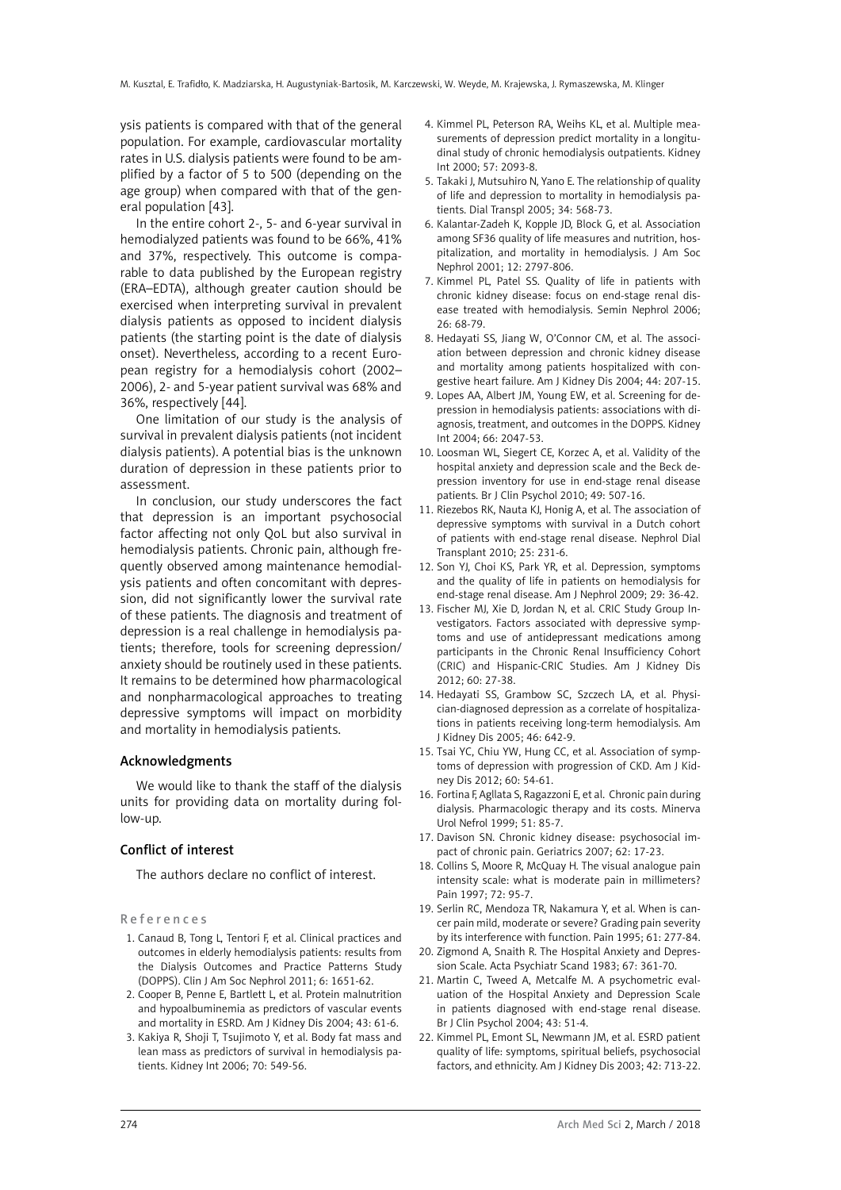ysis patients is compared with that of the general population. For example, cardiovascular mortality rates in U.S. dialysis patients were found to be amplified by a factor of 5 to 500 (depending on the age group) when compared with that of the general population [43].

In the entire cohort 2-, 5- and 6-year survival in hemodialyzed patients was found to be 66%, 41% and 37%, respectively. This outcome is comparable to data published by the European registry (ERA–EDTA), although greater caution should be exercised when interpreting survival in prevalent dialysis patients as opposed to incident dialysis patients (the starting point is the date of dialysis onset). Nevertheless, according to a recent European registry for a hemodialysis cohort (2002– 2006), 2- and 5-year patient survival was 68% and 36%, respectively [44].

One limitation of our study is the analysis of survival in prevalent dialysis patients (not incident dialysis patients). A potential bias is the unknown duration of depression in these patients prior to assessment.

In conclusion, our study underscores the fact that depression is an important psychosocial factor affecting not only QoL but also survival in hemodialysis patients. Chronic pain, although frequently observed among maintenance hemodialysis patients and often concomitant with depression, did not significantly lower the survival rate of these patients. The diagnosis and treatment of depression is a real challenge in hemodialysis patients; therefore, tools for screening depression/ anxiety should be routinely used in these patients. It remains to be determined how pharmacological and nonpharmacological approaches to treating depressive symptoms will impact on morbidity and mortality in hemodialysis patients.

### Acknowledgments

We would like to thank the staff of the dialysis units for providing data on mortality during follow-up.

## Conflict of interest

The authors declare no conflict of interest.

#### References

- 1. Canaud B, Tong L, Tentori F, et al. Clinical practices and outcomes in elderly hemodialysis patients: results from the Dialysis Outcomes and Practice Patterns Study (DOPPS). Clin J Am Soc Nephrol 2011; 6: 1651-62.
- 2. Cooper B, Penne E, Bartlett L, et al. Protein malnutrition and hypoalbuminemia as predictors of vascular events and mortality in ESRD. Am J Kidney Dis 2004; 43: 61-6.
- 3. Kakiya R, Shoji T, Tsujimoto Y, et al. Body fat mass and lean mass as predictors of survival in hemodialysis patients. Kidney Int 2006; 70: 549-56.
- 4. Kimmel PL, Peterson RA, Weihs KL, et al. Multiple measurements of depression predict mortality in a longitudinal study of chronic hemodialysis outpatients. Kidney Int 2000; 57: 2093-8.
- 5. Takaki J, Mutsuhiro N, Yano E. The relationship of quality of life and depression to mortality in hemodialysis patients. Dial Transpl 2005; 34: 568-73.
- 6. Kalantar-Zadeh K, Kopple JD, Block G, et al. Association among SF36 quality of life measures and nutrition, hospitalization, and mortality in hemodialysis. J Am Soc Nephrol 2001; 12: 2797-806.
- 7. Kimmel PL, Patel SS. Quality of life in patients with chronic kidney disease: focus on end-stage renal disease treated with hemodialysis. Semin Nephrol 2006; 26: 68-79.
- 8. Hedayati SS, Jiang W, O'Connor CM, et al. The association between depression and chronic kidney disease and mortality among patients hospitalized with congestive heart failure. Am J Kidney Dis 2004; 44: 207-15.
- 9. Lopes AA, Albert JM, Young EW, et al. Screening for depression in hemodialysis patients: associations with diagnosis, treatment, and outcomes in the DOPPS. Kidney Int 2004; 66: 2047-53.
- 10. Loosman WL, Siegert CE, Korzec A, et al. Validity of the hospital anxiety and depression scale and the Beck depression inventory for use in end-stage renal disease patients. Br J Clin Psychol 2010; 49: 507-16.
- 11. Riezebos RK, Nauta KJ, Honig A, et al. The association of depressive symptoms with survival in a Dutch cohort of patients with end-stage renal disease. Nephrol Dial Transplant 2010; 25: 231-6.
- 12. Son YJ, Choi KS, Park YR, et al. Depression, symptoms and the quality of life in patients on hemodialysis for end-stage renal disease. Am J Nephrol 2009; 29: 36-42.
- 13. Fischer MJ, Xie D, Jordan N, et al. CRIC Study Group Investigators. Factors associated with depressive symptoms and use of antidepressant medications among participants in the Chronic Renal Insufficiency Cohort (CRIC) and Hispanic-CRIC Studies. Am J Kidney Dis 2012; 60: 27-38.
- 14. Hedayati SS, Grambow SC, Szczech LA, et al. Physician-diagnosed depression as a correlate of hospitalizations in patients receiving long-term hemodialysis. Am J Kidney Dis 2005; 46: 642-9.
- 15. Tsai YC, Chiu YW, Hung CC, et al. Association of symptoms of depression with progression of CKD. Am J Kidney Dis 2012; 60: 54-61.
- 16. Fortina F, Agllata S, Ragazzoni E, et al. Chronic pain during dialysis. Pharmacologic therapy and its costs. Minerva Urol Nefrol 1999; 51: 85-7.
- 17. Davison SN. Chronic kidney disease: psychosocial impact of chronic pain. Geriatrics 2007; 62: 17-23.
- 18. [Collins S](http://www.ncbi.nlm.nih.gov/sites/entrez?Db=pubmed&Cmd=Search&Term=), [Moore R](http://www.ncbi.nlm.nih.gov/sites/entrez?Db=pubmed&Cmd=Search&Term=), [McQuay H.](http://www.ncbi.nlm.nih.gov/sites/entrez?Db=pubmed&Cmd=Search&Term=) The visual analogue pain intensity scale: what is moderate pain in millimeters? [Pain](file:///D:/Prace/AMS%20manuscript%20accepted/tekst/2%20kwartal%202016/javascript:AL_get(this, ) 1997; 72: 95-7.
- 19. Serlin RC, Mendoza TR, Nakamura Y, et al. When is cancer pain mild, moderate or severe? Grading pain severity by its interference with function. Pain 1995; 61: 277-84.
- 20. Zigmond A, Snaith R. The Hospital Anxiety and Depression Scale. Acta Psychiatr Scand 1983; 67: 361-70.
- 21. Martin C, Tweed A, Metcalfe M. A psychometric evaluation of the Hospital Anxiety and Depression Scale in patients diagnosed with end-stage renal disease. Br J Clin Psychol 2004; 43: 51-4.
- 22. Kimmel PL, Emont SL, Newmann JM, et al. ESRD patient quality of life: symptoms, spiritual beliefs, psychosocial factors, and ethnicity. Am J Kidney Dis 2003; 42: 713-22.